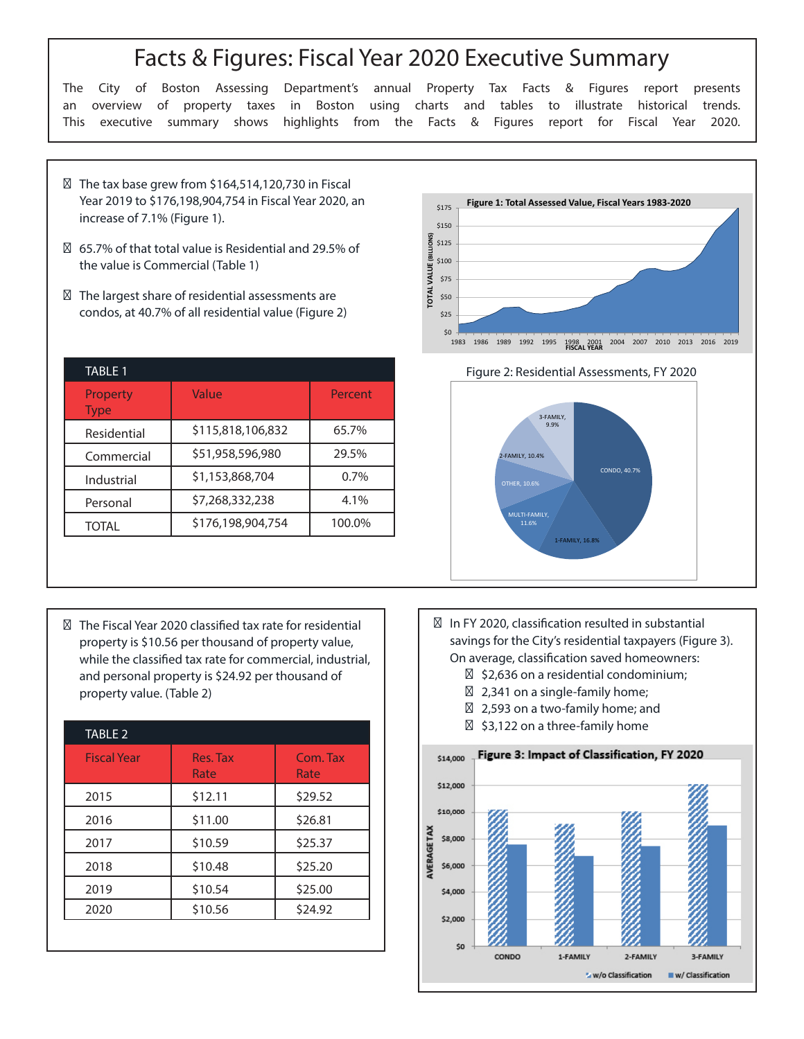## Facts & Figures: Fiscal Year 2020 Executive Summary

The City of Boston Assessing Department's annual Property Tax Facts & Figures report presents an overview of property taxes in Boston using charts and tables to illustrate historical trends. This executive summary shows highlights from the Facts & Figures report for Fiscal Year 2020.

The tax base grew from \$164,514,120,730 in Fiscal Year 2019 to \$176,198,904,754 in Fiscal Year 2020, an increase of 7.1% (Figure 1).

65.7% of that total value is Residential and 29.5% of the value is Commercial (Table 1)

The largest share of residential assessments are condos, at 40.7% of all residential value (Figure 2)

| <b>TABLE 1</b>          |                   |         |
|-------------------------|-------------------|---------|
| Property<br><b>Type</b> | Value             | Percent |
| Residential             | \$115,818,106,832 | 65.7%   |
| Commercial              | \$51,958,596,980  | 29.5%   |
| Industrial              | \$1,153,868,704   | 0.7%    |
| Personal                | \$7,268,332,238   | 4.1%    |
| TOTAI                   | \$176,198,904,754 | 100.0%  |







The Fiscal Year 2020 classified tax rate for residential property is \$10.56 per thousand of property value, while the classified tax rate for commercial, industrial, and personal property is \$24.92 per thousand of property value. (Table 2)

| <b>TABLE 2</b>     |                  |                  |
|--------------------|------------------|------------------|
| <b>Fiscal Year</b> | Res. Tax<br>Rate | Com. Tax<br>Rate |
| 2015               | \$12.11          | \$29.52          |
| 2016               | \$11.00          | \$26.81          |
| 2017               | \$10.59          | \$25.37          |
| 2018               | \$10.48          | \$25.20          |
| 2019               | \$10.54          | \$25.00          |
| 2020               | \$10.56          | \$24.92          |
|                    |                  |                  |

In FY 2020, classification resulted in substantial savings for the City's residential taxpayers (Figure 3). On average, classification saved homeowners: \$2,636 on a residential condominium; 2,341 on a single-family home; 2,593 on a two-family home; and \$3,122 on a three-family home